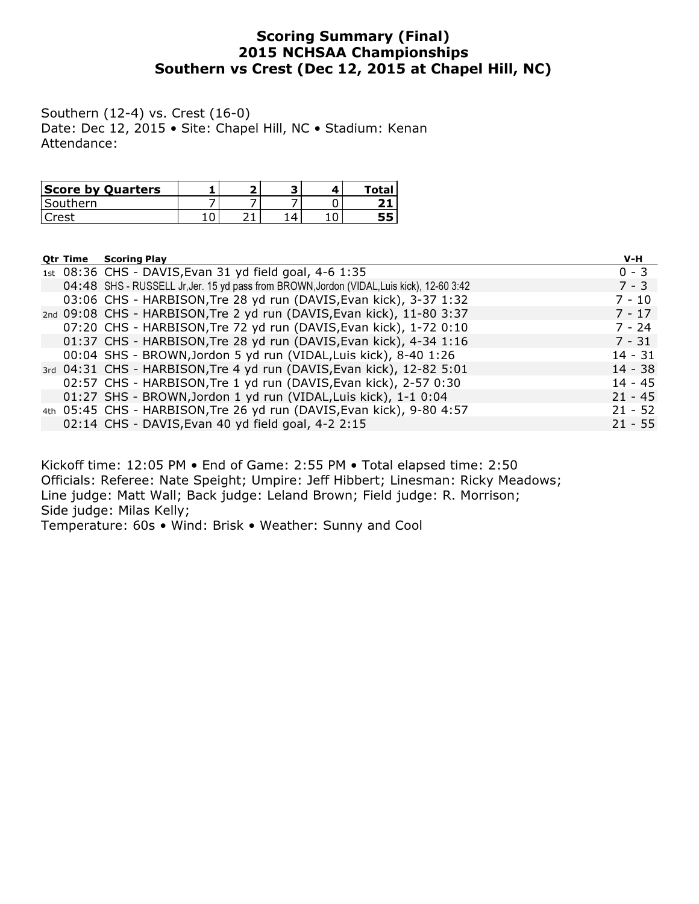## Scoring Summary (Final) 2015 NCHSAA Championships Southern vs Crest (Dec 12, 2015 at Chapel Hill, NC)

Southern (12-4) vs. Crest (16-0) Date: Dec 12, 2015 • Site: Chapel Hill, NC • Stadium: Kenan Attendance:

| <b>Score by Quarters</b> |  |  | Total |
|--------------------------|--|--|-------|
| 'Southern                |  |  |       |
|                          |  |  |       |

| <b>Qtr Time</b> | <b>Scoring Play</b>                                                                       | $V-H$     |
|-----------------|-------------------------------------------------------------------------------------------|-----------|
|                 | 1st 08:36 CHS - DAVIS, Evan 31 yd field goal, 4-6 1:35                                    | $0 - 3$   |
|                 | 04:48 SHS - RUSSELL Jr, Jer. 15 yd pass from BROWN, Jordon (VIDAL, Luis kick), 12-60 3:42 | $7 - 3$   |
|                 | 03:06 CHS - HARBISON, Tre 28 yd run (DAVIS, Evan kick), 3-37 1:32                         | $7 - 10$  |
|                 | 2nd 09:08 CHS - HARBISON, Tre 2 yd run (DAVIS, Evan kick), 11-80 3:37                     | $7 - 17$  |
|                 | 07:20 CHS - HARBISON, Tre 72 yd run (DAVIS, Evan kick), 1-72 0:10                         | $7 - 24$  |
|                 | 01:37 CHS - HARBISON, Tre 28 yd run (DAVIS, Evan kick), 4-34 1:16                         | $7 - 31$  |
|                 | 00:04 SHS - BROWN, Jordon 5 yd run (VIDAL, Luis kick), 8-40 1:26                          | $14 - 31$ |
|                 | 3rd 04:31 CHS - HARBISON, Tre 4 yd run (DAVIS, Evan kick), 12-82 5:01                     | $14 - 38$ |
|                 | 02:57 CHS - HARBISON, Tre 1 yd run (DAVIS, Evan kick), 2-57 0:30                          | $14 - 45$ |
|                 | 01:27 SHS - BROWN, Jordon 1 yd run (VIDAL, Luis kick), 1-1 0:04                           | $21 - 45$ |
|                 | 4th 05:45 CHS - HARBISON, Tre 26 yd run (DAVIS, Evan kick), 9-80 4:57                     | $21 - 52$ |
|                 | 02:14 CHS - DAVIS, Evan 40 yd field goal, 4-2 2:15                                        | $21 - 55$ |

Kickoff time: 12:05 PM • End of Game: 2:55 PM • Total elapsed time: 2:50 Officials: Referee: Nate Speight; Umpire: Jeff Hibbert; Linesman: Ricky Meadows; Line judge: Matt Wall; Back judge: Leland Brown; Field judge: R. Morrison; Side judge: Milas Kelly; Temperature: 60s • Wind: Brisk • Weather: Sunny and Cool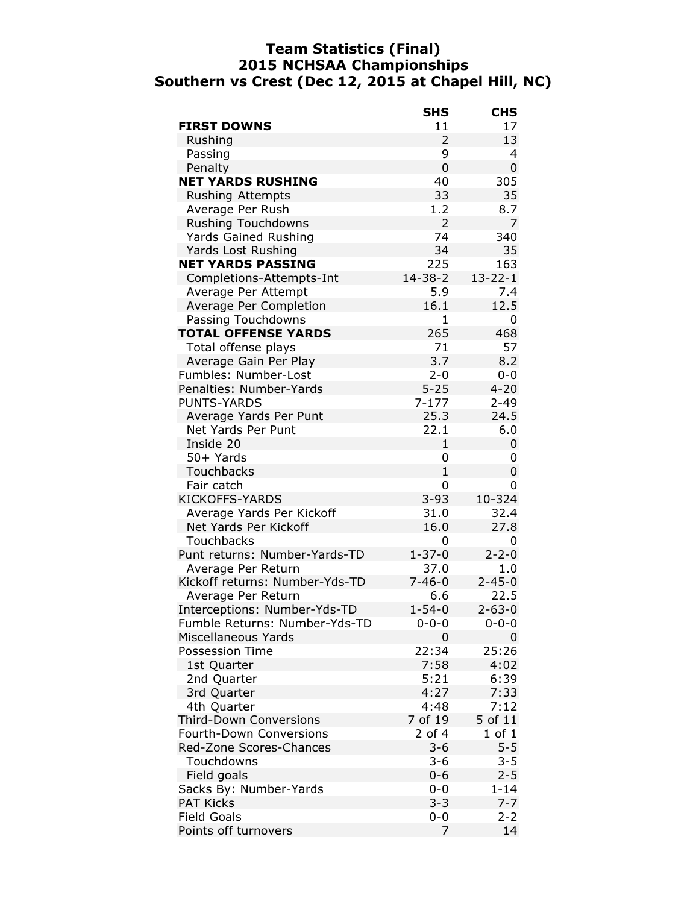### Team Statistics (Final) 2015 NCHSAA Championships Southern vs Crest (Dec 12, 2015 at Chapel Hill, NC)

|                                | <b>SHS</b>     | <b>CHS</b>     |
|--------------------------------|----------------|----------------|
| <b>FIRST DOWNS</b>             | 11             | 17             |
| Rushing                        | $\overline{2}$ | 13             |
| Passing                        | 9              | 4              |
| Penalty                        | 0              | 0              |
| <b>NET YARDS RUSHING</b>       | 40             | 305            |
| <b>Rushing Attempts</b>        | 33             | 35             |
| Average Per Rush               | 1.2            | 8.7            |
| <b>Rushing Touchdowns</b>      | $\overline{2}$ | $\overline{7}$ |
| Yards Gained Rushing           | 74             | 340            |
| Yards Lost Rushing             | 34             | 35             |
| <b>NET YARDS PASSING</b>       | 225            | 163            |
| Completions-Attempts-Int       | $14 - 38 - 2$  | $13 - 22 - 1$  |
| Average Per Attempt            | 5.9            | 7.4            |
| Average Per Completion         | 16.1           | 12.5           |
| Passing Touchdowns             | $\mathbf{1}$   | 0              |
| <b>TOTAL OFFENSE YARDS</b>     | 265            | 468            |
| Total offense plays            | 71             | 57             |
| Average Gain Per Play          | 3.7            | 8.2            |
| Fumbles: Number-Lost           | $2 - 0$        | $0 - 0$        |
| Penalties: Number-Yards        | $5 - 25$       | $4 - 20$       |
| <b>PUNTS-YARDS</b>             | $7 - 177$      | $2 - 49$       |
| Average Yards Per Punt         | 25.3           | 24.5           |
| Net Yards Per Punt             | 22.1           | 6.0            |
| Inside 20                      | 1              | 0              |
| 50+ Yards                      | 0              | 0              |
| Touchbacks                     | $\mathbf{1}$   | 0              |
| Fair catch                     | 0              | 0              |
| <b>KICKOFFS-YARDS</b>          | $3 - 93$       | 10-324         |
| Average Yards Per Kickoff      | 31.0           | 32.4           |
| Net Yards Per Kickoff          | 16.0           | 27.8           |
| <b>Touchbacks</b>              | 0              | 0              |
| Punt returns: Number-Yards-TD  | $1 - 37 - 0$   | $2 - 2 - 0$    |
| Average Per Return             | 37.0           | 1.0            |
| Kickoff returns: Number-Yds-TD | $7 - 46 - 0$   | $2 - 45 - 0$   |
| Average Per Return             | 6.6            | 22.5           |
| Interceptions: Number-Yds-TD   | $1 - 54 - 0$   | $2 - 63 - 0$   |
| Fumble Returns: Number-Yds-TD  | 0-0-0          | $0 - 0 - 0$    |
| Miscellaneous Yards            | 0              | 0              |
| <b>Possession Time</b>         | 22:34          | 25:26          |
| 1st Quarter                    | 7:58           | 4:02           |
| 2nd Quarter                    | 5:21           | 6:39           |
| 3rd Quarter                    | 4:27           | 7:33           |
| 4th Quarter                    | 4:48           | 7:12           |
| <b>Third-Down Conversions</b>  | 7 of 19        | 5 of 11        |
| <b>Fourth-Down Conversions</b> | 2 of 4         | $1$ of $1$     |
| Red-Zone Scores-Chances        | $3 - 6$        | $5 - 5$        |
| Touchdowns                     | $3 - 6$        | $3 - 5$        |
| Field goals                    | $0 - 6$        | $2 - 5$        |
| Sacks By: Number-Yards         | $0 - 0$        | $1 - 14$       |
| <b>PAT Kicks</b>               | $3 - 3$        | $7 - 7$        |
| <b>Field Goals</b>             | $0 - 0$        | $2 - 2$        |
| Points off turnovers           | 7              | 14             |
|                                |                |                |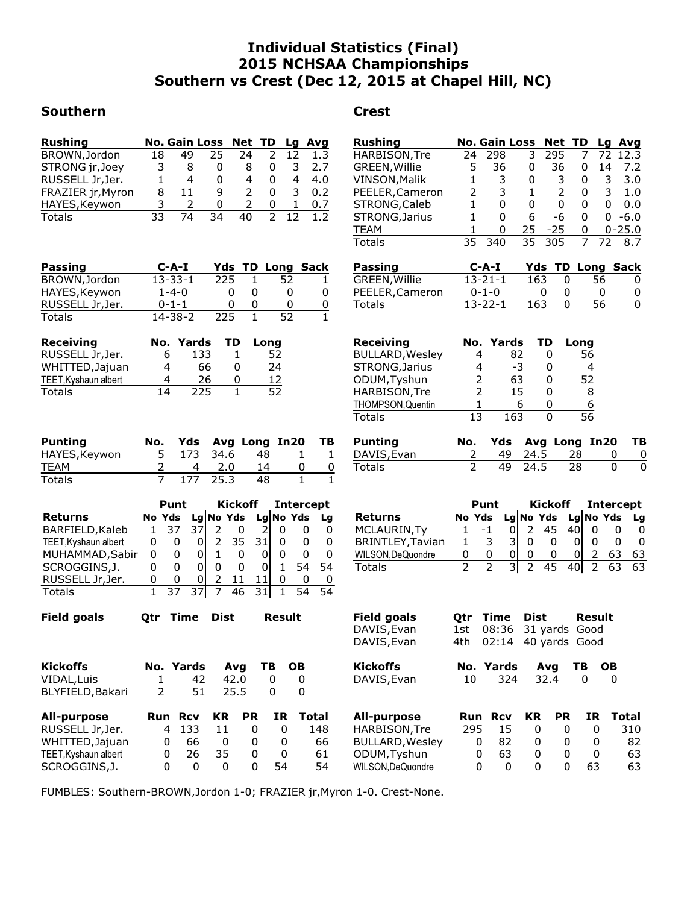# Individual Statistics (Final) 2015 NCHSAA Championships Southern vs Crest (Dec 12, 2015 at Chapel Hill, NC)

### Southern **Crest**

| <b>Rushing</b>    |     | No. Gain Loss Net TD |    |    |               |    | Lg Avg |
|-------------------|-----|----------------------|----|----|---------------|----|--------|
| BROWN, Jordon     | 18  | 49                   | 25 | 24 |               | 12 | 1.3    |
| STRONG jr, Joey   | 3   | 8                    | 0  | 8  | 0             | 3  | 2.7    |
| RUSSELL Jr, Jer.  |     | 4                    | 0  | 4  | 0             | 4  | 4.0    |
| FRAZIER jr, Myron | 8   | 11                   | q  | 2  | 0             | 3  | 0.2    |
| HAYES, Keywon     | ર   | 2                    | 0  | 2  | 0             | 1. | 0.7    |
| <b>Totals</b>     | 33. | 74                   | 34 | 40 | $\mathcal{P}$ |    | 1.2    |

| <b>Passing</b>   | $C-A-I$       |     | <b>Yds TD Long Sack</b> |    |
|------------------|---------------|-----|-------------------------|----|
| BROWN, Jordon    | $13 - 33 - 1$ | 225 | 52                      |    |
| HAYES, Keywon    | $1 - 4 - 0$   |     |                         | 0  |
| RUSSELL Jr, Jer. | $0 - 1 - 1$   | O   |                         | 0  |
| Totals           | $14 - 38 - 2$ | 225 | 52                      | 1. |

| <b>Receiving</b>     |    | No. Yards | TD | Long |
|----------------------|----|-----------|----|------|
| RUSSELL Jr, Jer.     | h  | 133       |    | 52   |
| WHITTED, Jajuan      | 4  | 66        | 0  | 24   |
| TEET, Kyshaun albert | 4  | 26        | 0  | 12   |
| Totals               | 14 | 225       |    | 52   |

| <b>Punting</b> | No. |          | Yds Avg Long In20 | - тв |
|----------------|-----|----------|-------------------|------|
| HAYES, Keywon  |     | 173 34.6 | 48.               |      |
| <b>TEAM</b>    |     | 2.0      | 14                |      |
| Totals         |     | 177 25.3 | 48                |      |

|                      | Punt |        |   | Kickoff             |    | <b>Intercept</b> |    |    |
|----------------------|------|--------|---|---------------------|----|------------------|----|----|
| <b>Returns</b>       |      | No Yds |   | Lg No Yds Lg No Yds |    |                  |    | Lq |
| BARFIELD, Kaleb      |      | -37    |   | 0                   |    | 0                | U  | 0  |
| TEET, Kyshaun albert | 0    |        |   | 35                  |    |                  | 0  | 0  |
| MUHAMMAD, Sabir      | O    | 0      |   | 0                   |    | O                | 0  | O  |
| SCROGGINS, J.        | 0    |        |   |                     |    |                  | 54 | 54 |
| RUSSELL Jr, Jer.     | 0    | 0      | O |                     |    |                  | 0  | O  |
| Totals               |      | -37    |   | 46                  | 31 |                  |    | 54 |

| Field goals   | Otr Time Dist      |
|---------------|--------------------|
| Otr Time Dist | Result             |
| <b>Result</b> | <b>Field goals</b> |
|               |                    |

| <b>Kickoffs</b>  |                | No. Yards Avg TB OB |         |   |  |
|------------------|----------------|---------------------|---------|---|--|
| VIDAL, Luis      |                | 42                  | 42.0    |   |  |
| BLYFIELD, Bakari | $\overline{2}$ |                     | 51 25.5 | O |  |

| All-purpose          | <b>Run Rcv</b> |       | <b>KR</b>  | <b>PR</b>         | IR | Total |
|----------------------|----------------|-------|------------|-------------------|----|-------|
| RUSSELL Jr, Jer.     |                | 4 133 | 11         | $\mathbf{\Omega}$ |    | 148   |
| WHITTED, Jajuan      |                | 66    |            |                   |    | 66    |
| TEET, Kyshaun albert | <sup>n</sup>   | 26    | -35        |                   |    | 61    |
| SCROGGINS, J.        | o              | O     | $^{\circ}$ | 0                 | 54 | 54    |

| HARBISON, Tre<br>295<br>24<br>298<br>3<br>7<br>72 12.3<br>GREEN, Willie<br>5<br>36<br>36<br>14<br>7.2<br>0<br>0<br>VINSON, Malik<br>1<br>3<br>3.0<br>3<br>0<br>0<br>3<br>PEELER, Cameron<br>2<br>3<br>1<br>2<br>0<br>3.<br>1.0<br>STRONG, Caleb<br>1<br>0<br>0<br>0<br>0<br>0<br>0.0<br>$\mathbf{1}$<br>6<br>STRONG, Jarius<br>0<br>-6<br>0<br>$0 - 6.0$<br>1<br>25<br>$0 - 25.0$<br>TEAM<br>0<br>-25<br>0<br>35<br>340<br>305<br>72<br>Totals<br>35<br>7<br>8.7<br>Yds TD Long Sack<br>Passing<br>C-A-I<br>GREEN, Willie<br>163<br>13-21-1<br>56<br>0<br>0<br>PEELER, Cameron<br>$0 - 1 - 0$<br>0<br>0<br>Q<br>0<br>Totals<br>$13 - 22 - 1$<br>163<br>56<br>0<br>O<br>Receiving<br>No. Yards<br>TD<br>Long<br><b>BULLARD, Wesley</b><br>4<br>82<br>56<br>0<br>STRONG, Jarius<br>4<br>-3<br>4<br>0<br>ODUM, Tyshun<br>2<br>63<br>52<br>0<br>HARBISON, Tre<br>2<br>15<br>0<br>8<br>THOMPSON, Quentin<br>1<br>6<br>6<br>0<br>13<br>Totals<br>163<br>0<br>56<br>Yds<br><b>Punting</b><br>No.<br>Avg Long<br>In20<br>ΤВ<br>DAVIS, Evan<br>49<br>24.5<br>28<br>2<br>0<br>0<br>2<br>24.5<br>49<br>Totals<br>28<br>0<br>0<br>Kickoff<br><b>Intercept</b><br>Punt<br>Lg No Yds<br>Lg No Yds<br>Returns<br>No Yds<br><b>Lg</b><br>45<br>MCLAURIN, Ty<br>-1<br>2<br>40<br>0<br>0<br>0<br>1<br>01<br>3<br><b>BRINTLEY, Tavian</b><br>3<br>0<br>1<br>0<br>0<br>0<br>0<br>0<br>$\overline{2}$<br>WILSON, DeQuondre<br>0<br>0<br>0<br>0<br>$\Omega$<br>63<br>63<br>0<br>$\overline{2}$<br>$\overline{2}$<br>$\overline{2}$<br>$\overline{2}$<br>$\overline{3}$<br>45<br>$\overline{40}$<br>63<br>63<br>Totals<br><b>Field goals</b><br>Dist<br>Qtr<br>Time<br>Result<br>DAVIS, Evan<br>08:36<br>31 yards Good<br>1st.<br>DAVIS, Evan<br>4th.<br>02:14<br>40 yards Good<br><b>Kickoffs</b><br>No. Yards<br><u>Avg</u><br>ΤВ<br>OВ<br>324<br>32.4<br>DAVIS, Evan<br>10<br>0<br>ΚR<br><b>PR</b><br>IR<br><b>Total</b><br><b>All-purpose</b><br><b>Rcv</b><br>Run<br>295<br>HARBISON, Tre<br>15<br>0<br>0<br>0<br>310 | <u>Rushing</u> | No. Gain Loss |  | Net | TD | Lg | <u>Avg</u> |
|-----------------------------------------------------------------------------------------------------------------------------------------------------------------------------------------------------------------------------------------------------------------------------------------------------------------------------------------------------------------------------------------------------------------------------------------------------------------------------------------------------------------------------------------------------------------------------------------------------------------------------------------------------------------------------------------------------------------------------------------------------------------------------------------------------------------------------------------------------------------------------------------------------------------------------------------------------------------------------------------------------------------------------------------------------------------------------------------------------------------------------------------------------------------------------------------------------------------------------------------------------------------------------------------------------------------------------------------------------------------------------------------------------------------------------------------------------------------------------------------------------------------------------------------------------------------------------------------------------------------------------------------------------------------------------------------------------------------------------------------------------------------------------------------------------------------------------------------------------------------------------------------------------------------------------------------------------------------------------------------------------|----------------|---------------|--|-----|----|----|------------|
|                                                                                                                                                                                                                                                                                                                                                                                                                                                                                                                                                                                                                                                                                                                                                                                                                                                                                                                                                                                                                                                                                                                                                                                                                                                                                                                                                                                                                                                                                                                                                                                                                                                                                                                                                                                                                                                                                                                                                                                                     |                |               |  |     |    |    |            |
|                                                                                                                                                                                                                                                                                                                                                                                                                                                                                                                                                                                                                                                                                                                                                                                                                                                                                                                                                                                                                                                                                                                                                                                                                                                                                                                                                                                                                                                                                                                                                                                                                                                                                                                                                                                                                                                                                                                                                                                                     |                |               |  |     |    |    |            |
|                                                                                                                                                                                                                                                                                                                                                                                                                                                                                                                                                                                                                                                                                                                                                                                                                                                                                                                                                                                                                                                                                                                                                                                                                                                                                                                                                                                                                                                                                                                                                                                                                                                                                                                                                                                                                                                                                                                                                                                                     |                |               |  |     |    |    |            |
|                                                                                                                                                                                                                                                                                                                                                                                                                                                                                                                                                                                                                                                                                                                                                                                                                                                                                                                                                                                                                                                                                                                                                                                                                                                                                                                                                                                                                                                                                                                                                                                                                                                                                                                                                                                                                                                                                                                                                                                                     |                |               |  |     |    |    |            |
|                                                                                                                                                                                                                                                                                                                                                                                                                                                                                                                                                                                                                                                                                                                                                                                                                                                                                                                                                                                                                                                                                                                                                                                                                                                                                                                                                                                                                                                                                                                                                                                                                                                                                                                                                                                                                                                                                                                                                                                                     |                |               |  |     |    |    |            |
|                                                                                                                                                                                                                                                                                                                                                                                                                                                                                                                                                                                                                                                                                                                                                                                                                                                                                                                                                                                                                                                                                                                                                                                                                                                                                                                                                                                                                                                                                                                                                                                                                                                                                                                                                                                                                                                                                                                                                                                                     |                |               |  |     |    |    |            |
|                                                                                                                                                                                                                                                                                                                                                                                                                                                                                                                                                                                                                                                                                                                                                                                                                                                                                                                                                                                                                                                                                                                                                                                                                                                                                                                                                                                                                                                                                                                                                                                                                                                                                                                                                                                                                                                                                                                                                                                                     |                |               |  |     |    |    |            |
|                                                                                                                                                                                                                                                                                                                                                                                                                                                                                                                                                                                                                                                                                                                                                                                                                                                                                                                                                                                                                                                                                                                                                                                                                                                                                                                                                                                                                                                                                                                                                                                                                                                                                                                                                                                                                                                                                                                                                                                                     |                |               |  |     |    |    |            |
|                                                                                                                                                                                                                                                                                                                                                                                                                                                                                                                                                                                                                                                                                                                                                                                                                                                                                                                                                                                                                                                                                                                                                                                                                                                                                                                                                                                                                                                                                                                                                                                                                                                                                                                                                                                                                                                                                                                                                                                                     |                |               |  |     |    |    |            |
|                                                                                                                                                                                                                                                                                                                                                                                                                                                                                                                                                                                                                                                                                                                                                                                                                                                                                                                                                                                                                                                                                                                                                                                                                                                                                                                                                                                                                                                                                                                                                                                                                                                                                                                                                                                                                                                                                                                                                                                                     |                |               |  |     |    |    |            |
|                                                                                                                                                                                                                                                                                                                                                                                                                                                                                                                                                                                                                                                                                                                                                                                                                                                                                                                                                                                                                                                                                                                                                                                                                                                                                                                                                                                                                                                                                                                                                                                                                                                                                                                                                                                                                                                                                                                                                                                                     |                |               |  |     |    |    |            |
|                                                                                                                                                                                                                                                                                                                                                                                                                                                                                                                                                                                                                                                                                                                                                                                                                                                                                                                                                                                                                                                                                                                                                                                                                                                                                                                                                                                                                                                                                                                                                                                                                                                                                                                                                                                                                                                                                                                                                                                                     |                |               |  |     |    |    |            |
|                                                                                                                                                                                                                                                                                                                                                                                                                                                                                                                                                                                                                                                                                                                                                                                                                                                                                                                                                                                                                                                                                                                                                                                                                                                                                                                                                                                                                                                                                                                                                                                                                                                                                                                                                                                                                                                                                                                                                                                                     |                |               |  |     |    |    |            |
|                                                                                                                                                                                                                                                                                                                                                                                                                                                                                                                                                                                                                                                                                                                                                                                                                                                                                                                                                                                                                                                                                                                                                                                                                                                                                                                                                                                                                                                                                                                                                                                                                                                                                                                                                                                                                                                                                                                                                                                                     |                |               |  |     |    |    |            |
|                                                                                                                                                                                                                                                                                                                                                                                                                                                                                                                                                                                                                                                                                                                                                                                                                                                                                                                                                                                                                                                                                                                                                                                                                                                                                                                                                                                                                                                                                                                                                                                                                                                                                                                                                                                                                                                                                                                                                                                                     |                |               |  |     |    |    |            |
|                                                                                                                                                                                                                                                                                                                                                                                                                                                                                                                                                                                                                                                                                                                                                                                                                                                                                                                                                                                                                                                                                                                                                                                                                                                                                                                                                                                                                                                                                                                                                                                                                                                                                                                                                                                                                                                                                                                                                                                                     |                |               |  |     |    |    |            |
|                                                                                                                                                                                                                                                                                                                                                                                                                                                                                                                                                                                                                                                                                                                                                                                                                                                                                                                                                                                                                                                                                                                                                                                                                                                                                                                                                                                                                                                                                                                                                                                                                                                                                                                                                                                                                                                                                                                                                                                                     |                |               |  |     |    |    |            |
|                                                                                                                                                                                                                                                                                                                                                                                                                                                                                                                                                                                                                                                                                                                                                                                                                                                                                                                                                                                                                                                                                                                                                                                                                                                                                                                                                                                                                                                                                                                                                                                                                                                                                                                                                                                                                                                                                                                                                                                                     |                |               |  |     |    |    |            |
|                                                                                                                                                                                                                                                                                                                                                                                                                                                                                                                                                                                                                                                                                                                                                                                                                                                                                                                                                                                                                                                                                                                                                                                                                                                                                                                                                                                                                                                                                                                                                                                                                                                                                                                                                                                                                                                                                                                                                                                                     |                |               |  |     |    |    |            |
|                                                                                                                                                                                                                                                                                                                                                                                                                                                                                                                                                                                                                                                                                                                                                                                                                                                                                                                                                                                                                                                                                                                                                                                                                                                                                                                                                                                                                                                                                                                                                                                                                                                                                                                                                                                                                                                                                                                                                                                                     |                |               |  |     |    |    |            |
|                                                                                                                                                                                                                                                                                                                                                                                                                                                                                                                                                                                                                                                                                                                                                                                                                                                                                                                                                                                                                                                                                                                                                                                                                                                                                                                                                                                                                                                                                                                                                                                                                                                                                                                                                                                                                                                                                                                                                                                                     |                |               |  |     |    |    |            |
|                                                                                                                                                                                                                                                                                                                                                                                                                                                                                                                                                                                                                                                                                                                                                                                                                                                                                                                                                                                                                                                                                                                                                                                                                                                                                                                                                                                                                                                                                                                                                                                                                                                                                                                                                                                                                                                                                                                                                                                                     |                |               |  |     |    |    |            |
|                                                                                                                                                                                                                                                                                                                                                                                                                                                                                                                                                                                                                                                                                                                                                                                                                                                                                                                                                                                                                                                                                                                                                                                                                                                                                                                                                                                                                                                                                                                                                                                                                                                                                                                                                                                                                                                                                                                                                                                                     |                |               |  |     |    |    |            |
|                                                                                                                                                                                                                                                                                                                                                                                                                                                                                                                                                                                                                                                                                                                                                                                                                                                                                                                                                                                                                                                                                                                                                                                                                                                                                                                                                                                                                                                                                                                                                                                                                                                                                                                                                                                                                                                                                                                                                                                                     |                |               |  |     |    |    |            |
|                                                                                                                                                                                                                                                                                                                                                                                                                                                                                                                                                                                                                                                                                                                                                                                                                                                                                                                                                                                                                                                                                                                                                                                                                                                                                                                                                                                                                                                                                                                                                                                                                                                                                                                                                                                                                                                                                                                                                                                                     |                |               |  |     |    |    |            |
|                                                                                                                                                                                                                                                                                                                                                                                                                                                                                                                                                                                                                                                                                                                                                                                                                                                                                                                                                                                                                                                                                                                                                                                                                                                                                                                                                                                                                                                                                                                                                                                                                                                                                                                                                                                                                                                                                                                                                                                                     |                |               |  |     |    |    |            |
|                                                                                                                                                                                                                                                                                                                                                                                                                                                                                                                                                                                                                                                                                                                                                                                                                                                                                                                                                                                                                                                                                                                                                                                                                                                                                                                                                                                                                                                                                                                                                                                                                                                                                                                                                                                                                                                                                                                                                                                                     |                |               |  |     |    |    |            |
|                                                                                                                                                                                                                                                                                                                                                                                                                                                                                                                                                                                                                                                                                                                                                                                                                                                                                                                                                                                                                                                                                                                                                                                                                                                                                                                                                                                                                                                                                                                                                                                                                                                                                                                                                                                                                                                                                                                                                                                                     |                |               |  |     |    |    |            |
|                                                                                                                                                                                                                                                                                                                                                                                                                                                                                                                                                                                                                                                                                                                                                                                                                                                                                                                                                                                                                                                                                                                                                                                                                                                                                                                                                                                                                                                                                                                                                                                                                                                                                                                                                                                                                                                                                                                                                                                                     |                |               |  |     |    |    |            |
|                                                                                                                                                                                                                                                                                                                                                                                                                                                                                                                                                                                                                                                                                                                                                                                                                                                                                                                                                                                                                                                                                                                                                                                                                                                                                                                                                                                                                                                                                                                                                                                                                                                                                                                                                                                                                                                                                                                                                                                                     |                |               |  |     |    |    |            |
|                                                                                                                                                                                                                                                                                                                                                                                                                                                                                                                                                                                                                                                                                                                                                                                                                                                                                                                                                                                                                                                                                                                                                                                                                                                                                                                                                                                                                                                                                                                                                                                                                                                                                                                                                                                                                                                                                                                                                                                                     |                |               |  |     |    |    |            |
|                                                                                                                                                                                                                                                                                                                                                                                                                                                                                                                                                                                                                                                                                                                                                                                                                                                                                                                                                                                                                                                                                                                                                                                                                                                                                                                                                                                                                                                                                                                                                                                                                                                                                                                                                                                                                                                                                                                                                                                                     |                |               |  |     |    |    |            |
|                                                                                                                                                                                                                                                                                                                                                                                                                                                                                                                                                                                                                                                                                                                                                                                                                                                                                                                                                                                                                                                                                                                                                                                                                                                                                                                                                                                                                                                                                                                                                                                                                                                                                                                                                                                                                                                                                                                                                                                                     |                |               |  |     |    |    |            |
|                                                                                                                                                                                                                                                                                                                                                                                                                                                                                                                                                                                                                                                                                                                                                                                                                                                                                                                                                                                                                                                                                                                                                                                                                                                                                                                                                                                                                                                                                                                                                                                                                                                                                                                                                                                                                                                                                                                                                                                                     |                |               |  |     |    |    |            |
|                                                                                                                                                                                                                                                                                                                                                                                                                                                                                                                                                                                                                                                                                                                                                                                                                                                                                                                                                                                                                                                                                                                                                                                                                                                                                                                                                                                                                                                                                                                                                                                                                                                                                                                                                                                                                                                                                                                                                                                                     |                |               |  |     |    |    |            |
|                                                                                                                                                                                                                                                                                                                                                                                                                                                                                                                                                                                                                                                                                                                                                                                                                                                                                                                                                                                                                                                                                                                                                                                                                                                                                                                                                                                                                                                                                                                                                                                                                                                                                                                                                                                                                                                                                                                                                                                                     |                |               |  |     |    |    |            |
|                                                                                                                                                                                                                                                                                                                                                                                                                                                                                                                                                                                                                                                                                                                                                                                                                                                                                                                                                                                                                                                                                                                                                                                                                                                                                                                                                                                                                                                                                                                                                                                                                                                                                                                                                                                                                                                                                                                                                                                                     |                |               |  |     |    |    |            |
|                                                                                                                                                                                                                                                                                                                                                                                                                                                                                                                                                                                                                                                                                                                                                                                                                                                                                                                                                                                                                                                                                                                                                                                                                                                                                                                                                                                                                                                                                                                                                                                                                                                                                                                                                                                                                                                                                                                                                                                                     |                |               |  |     |    |    |            |
|                                                                                                                                                                                                                                                                                                                                                                                                                                                                                                                                                                                                                                                                                                                                                                                                                                                                                                                                                                                                                                                                                                                                                                                                                                                                                                                                                                                                                                                                                                                                                                                                                                                                                                                                                                                                                                                                                                                                                                                                     |                |               |  |     |    |    |            |
|                                                                                                                                                                                                                                                                                                                                                                                                                                                                                                                                                                                                                                                                                                                                                                                                                                                                                                                                                                                                                                                                                                                                                                                                                                                                                                                                                                                                                                                                                                                                                                                                                                                                                                                                                                                                                                                                                                                                                                                                     |                |               |  |     |    |    |            |
|                                                                                                                                                                                                                                                                                                                                                                                                                                                                                                                                                                                                                                                                                                                                                                                                                                                                                                                                                                                                                                                                                                                                                                                                                                                                                                                                                                                                                                                                                                                                                                                                                                                                                                                                                                                                                                                                                                                                                                                                     |                |               |  |     |    |    |            |
|                                                                                                                                                                                                                                                                                                                                                                                                                                                                                                                                                                                                                                                                                                                                                                                                                                                                                                                                                                                                                                                                                                                                                                                                                                                                                                                                                                                                                                                                                                                                                                                                                                                                                                                                                                                                                                                                                                                                                                                                     |                |               |  |     |    |    |            |
|                                                                                                                                                                                                                                                                                                                                                                                                                                                                                                                                                                                                                                                                                                                                                                                                                                                                                                                                                                                                                                                                                                                                                                                                                                                                                                                                                                                                                                                                                                                                                                                                                                                                                                                                                                                                                                                                                                                                                                                                     |                |               |  |     |    |    |            |

BULLARD, Wesley 0 82 0 0 0 82<br>
ODUM, Tyshun 0 63 0 0 0 63<br>
WILSON, DeQuondre 0 0 0 0 63 63

0 63 0 0 0 63<br>0 0 0 0 63 63 0 0 0 0 63

FUMBLES: Southern-BROWN,Jordon 1-0; FRAZIER jr,Myron 1-0. Crest-None.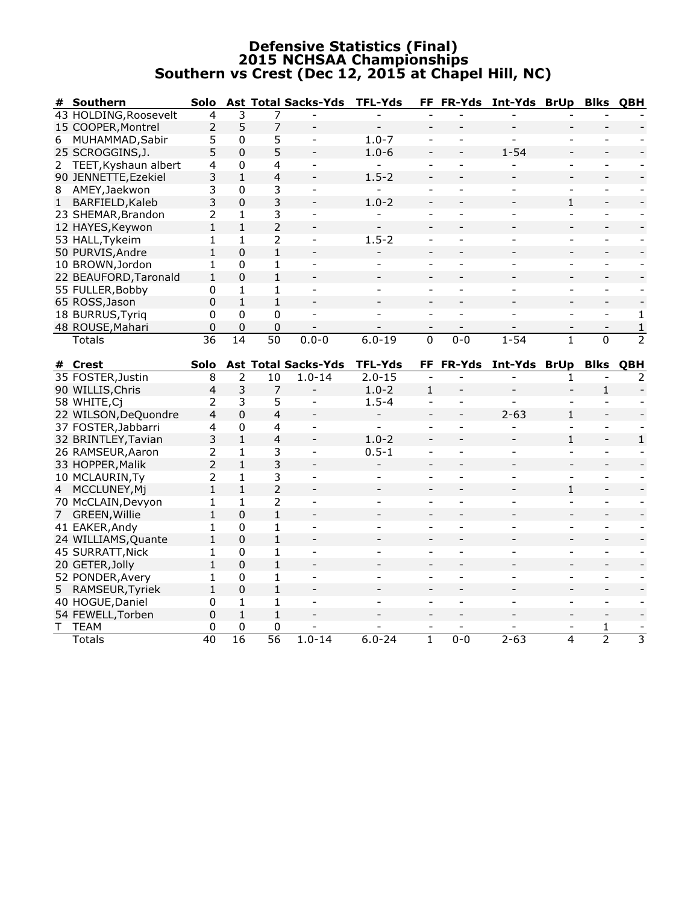### Defensive Statistics (Final) 2015 NCHSAA Championships Southern vs Crest (Dec 12, 2015 at Chapel Hill, NC)

| #           | Southern                         | Solo                 |                      |                      | <b>Ast Total Sacks-Yds</b>               | <b>TFL-Yds</b>               |                                |                          | FF FR-Yds Int-Yds BrUp   |                          | <b>Blks QBH</b>          |                |
|-------------|----------------------------------|----------------------|----------------------|----------------------|------------------------------------------|------------------------------|--------------------------------|--------------------------|--------------------------|--------------------------|--------------------------|----------------|
|             | 43 HOLDING, Roosevelt            | 4                    | 3                    | 7                    |                                          |                              |                                |                          |                          |                          |                          |                |
|             | 15 COOPER, Montrel               | $\overline{2}$       | 5                    | 7                    | $\frac{1}{2}$                            | $\overline{a}$               |                                |                          |                          |                          |                          |                |
| 6           | MUHAMMAD, Sabir                  | 5                    | 0                    | 5                    | $\blacksquare$                           | $1.0 - 7$                    | $\overline{\phantom{a}}$       | $\overline{\phantom{a}}$ | $\overline{\phantom{0}}$ | $\overline{\phantom{0}}$ | ÷.                       |                |
|             | 25 SCROGGINS, J.                 | 5                    | $\mathbf 0$          | 5                    |                                          | $1.0 - 6$                    |                                |                          | $1 - 54$                 |                          |                          |                |
|             | 2 TEET, Kyshaun albert           | 4                    | 0                    | 4                    | $\blacksquare$                           |                              | $\blacksquare$                 | $\blacksquare$           |                          | $\overline{a}$           | $\overline{\phantom{0}}$ |                |
|             | 90 JENNETTE, Ezekiel             | 3                    | $\mathbf{1}$         | $\overline{4}$       |                                          | $1.5 - 2$                    | $\overline{\phantom{a}}$       |                          |                          |                          |                          |                |
| 8           | AMEY, Jaekwon                    | 3                    | 0                    | 3                    | $\overline{\phantom{a}}$                 | $\blacksquare$               | $\blacksquare$                 | $\overline{\phantom{a}}$ |                          | $\overline{\phantom{0}}$ | $\overline{\phantom{0}}$ |                |
| 1           | BARFIELD, Kaleb                  | 3                    | $\mathbf 0$          | 3                    |                                          | $1.0 - 2$                    |                                |                          |                          | $\mathbf{1}$             |                          |                |
|             | 23 SHEMAR, Brandon               | 2                    | 1                    | 3                    | $\overline{a}$                           |                              | $\blacksquare$                 | $\overline{a}$           | ٠                        | $\overline{a}$           | $\sim$                   |                |
|             | 12 HAYES, Keywon                 | $\mathbf{1}$         | $\mathbf{1}$         | $\overline{2}$       |                                          |                              |                                |                          |                          |                          |                          |                |
|             | 53 HALL, Tykeim                  | 1                    | 1                    | $\overline{2}$       | $\blacksquare$                           | $1.5 - 2$                    | $\overline{\phantom{a}}$       | $\blacksquare$           | $\overline{\phantom{0}}$ | $\overline{\phantom{0}}$ | $\blacksquare$           |                |
|             | 50 PURVIS, Andre                 | $\mathbf{1}$         | $\mathbf{0}$         | $\mathbf{1}$         | $\blacksquare$                           |                              | $\blacksquare$                 |                          |                          | $\overline{a}$           | $\overline{a}$           |                |
|             | 10 BROWN, Jordon                 | $\mathbf{1}$         | 0                    | 1                    | $\blacksquare$                           | $\overline{a}$               | $\overline{\phantom{a}}$       | $\overline{a}$           | $\blacksquare$           | $\overline{\phantom{0}}$ | $\sim$                   |                |
|             | 22 BEAUFORD, Taronald            | $\mathbf{1}$         | $\mathbf 0$          | $\mathbf{1}$         |                                          |                              |                                |                          |                          |                          |                          |                |
|             | 55 FULLER, Bobby                 | 0                    | $\mathbf{1}$         | $\mathbf{1}$         |                                          |                              |                                |                          |                          |                          |                          |                |
|             | 65 ROSS, Jason                   | 0                    | $\mathbf{1}$         | $\mathbf{1}$         |                                          |                              |                                |                          |                          | $\overline{\phantom{0}}$ |                          |                |
|             | 18 BURRUS, Tyriq                 | 0                    | 0                    | $\mathbf 0$          |                                          |                              |                                |                          |                          | $\overline{a}$           | $\blacksquare$           | 1              |
|             | 48 ROUSE, Mahari                 | 0                    | $\Omega$             | $\mathbf{0}$         |                                          |                              |                                |                          |                          |                          |                          | $\mathbf 1$    |
|             | <b>Totals</b>                    | 36                   | 14                   | $\overline{50}$      | $0.0 - 0$                                | $6.0 - 19$                   | $\mathbf 0$                    | $0 - 0$                  | $1 - 54$                 | 1                        | $\Omega$                 | $\overline{2}$ |
|             |                                  |                      |                      |                      |                                          |                              |                                |                          |                          |                          |                          |                |
|             | # Crest<br>35 FOSTER, Justin     | Solo<br>8            | 2                    | 10                   | <b>Ast Total Sacks-Yds</b><br>$1.0 - 14$ | <b>TFL-Yds</b><br>$2.0 - 15$ | FF.                            |                          | FR-Yds Int-Yds BrUp      | 1                        | <b>Blks QBH</b>          | 2              |
|             |                                  | $\overline{4}$       |                      |                      |                                          |                              |                                |                          |                          |                          |                          |                |
|             | 90 WILLIS, Chris<br>58 WHITE, Cj |                      | 3                    | $\overline{7}$       |                                          | $1.0 - 2$<br>$1.5 - 4$       | $\mathbf{1}$<br>$\blacksquare$ |                          |                          |                          | $\mathbf{1}$             |                |
|             |                                  | 2                    | 3                    | 5                    | $\overline{\phantom{a}}$                 |                              |                                |                          | $\overline{\phantom{0}}$ |                          |                          |                |
|             |                                  |                      |                      |                      |                                          |                              |                                |                          |                          |                          |                          |                |
|             | 22 WILSON, DeQuondre             | 4                    | $\overline{0}$       | 4                    | $\overline{\phantom{a}}$                 | $\frac{1}{2}$                | $\overline{\phantom{a}}$       | $\equiv$                 | $2 - 63$                 | $\mathbf{1}$             |                          |                |
|             | 37 FOSTER, Jabbarri              | 4                    | $\mathbf 0$          | 4                    | $\overline{\phantom{a}}$                 | $\blacksquare$               | $\blacksquare$                 | ÷                        |                          | $\blacksquare$           | $\sim$                   |                |
|             | 32 BRINTLEY, Tavian              | 3                    | $\mathbf{1}$         | $\overline{4}$       |                                          | $1.0 - 2$                    |                                |                          |                          | $\mathbf{1}$             |                          | $\mathbf 1$    |
|             | 26 RAMSEUR, Aaron                | 2                    | 1                    | 3                    | $\blacksquare$                           | $0.5 - 1$                    | $\overline{a}$                 | $\blacksquare$           |                          | $\overline{a}$           | $\overline{\phantom{0}}$ |                |
|             | 33 HOPPER, Malik                 | $\overline{2}$       | $\mathbf{1}$         | 3                    |                                          |                              | $\overline{\phantom{0}}$       |                          |                          |                          | $\overline{\phantom{0}}$ |                |
|             | 10 MCLAURIN, Ty                  | 2                    | $\mathbf{1}$         | 3                    | $\blacksquare$                           |                              | $\overline{a}$                 |                          | L.                       | $\blacksquare$           | $\overline{\phantom{a}}$ |                |
|             | 4 MCCLUNEY, Mj                   | $\mathbf{1}$         | $\mathbf{1}$         | $\overline{2}$       |                                          |                              | $\overline{a}$                 |                          |                          | $\mathbf{1}$             |                          |                |
|             | 70 McCLAIN, Devyon               | 1                    | 1                    | $\overline{2}$       | $\blacksquare$                           | -                            | $\blacksquare$                 | $\blacksquare$           | $\overline{\phantom{0}}$ | $\blacksquare$           | $\blacksquare$           |                |
| $7^{\circ}$ | GREEN, Willie                    | $\mathbf{1}$         | $\overline{0}$       | $\mathbf{1}$         |                                          |                              |                                |                          |                          |                          |                          |                |
|             | 41 EAKER, Andy                   | $\mathbf{1}$         | 0                    | $\mathbf{1}$         | $\overline{a}$                           |                              |                                |                          |                          |                          | $\sim$                   |                |
|             | 24 WILLIAMS, Quante              | $\mathbf{1}$         | $\mathbf{0}$         | $\mathbf{1}$         |                                          |                              |                                |                          |                          |                          |                          |                |
|             | 45 SURRATT, Nick                 | 1                    | 0                    | 1                    | $\blacksquare$                           |                              | $\blacksquare$                 |                          | ÷                        | $\blacksquare$           | ÷.                       |                |
|             | 20 GETER, Jolly                  | $\mathbf{1}$         | $\mathbf{0}$         | $\mathbf{1}$         |                                          |                              | $\overline{\phantom{a}}$       |                          |                          | $\overline{\phantom{0}}$ |                          |                |
|             | 52 PONDER, Avery                 | 1                    | 0                    | 1                    | $\blacksquare$                           | Ξ.                           | $\qquad \qquad \blacksquare$   | $\blacksquare$           | $\overline{\phantom{0}}$ | $\overline{a}$           | $\blacksquare$           |                |
|             | 5 RAMSEUR, Tyriek                | $\mathbf{1}$         | $\mathbf{0}$         | $\mathbf{1}$         |                                          |                              |                                |                          |                          |                          |                          |                |
|             | 40 HOGUE, Daniel                 | 0                    | $\mathbf{1}$         | 1                    |                                          |                              |                                |                          |                          |                          |                          |                |
|             | 54 FEWELL, Torben                | 0                    | $\mathbf{1}$         | $\mathbf 1$          |                                          |                              |                                |                          |                          | $\overline{a}$           |                          |                |
|             | T TEAM<br>Totals                 | 0<br>$\overline{40}$ | 0<br>$\overline{16}$ | 0<br>$\overline{56}$ | $1.0 - 14$                               | $6.0 - 24$                   | $\overline{1}$                 | $0 - 0$                  | $2 - 63$                 | 4                        | 1<br>$\overline{2}$      | 3              |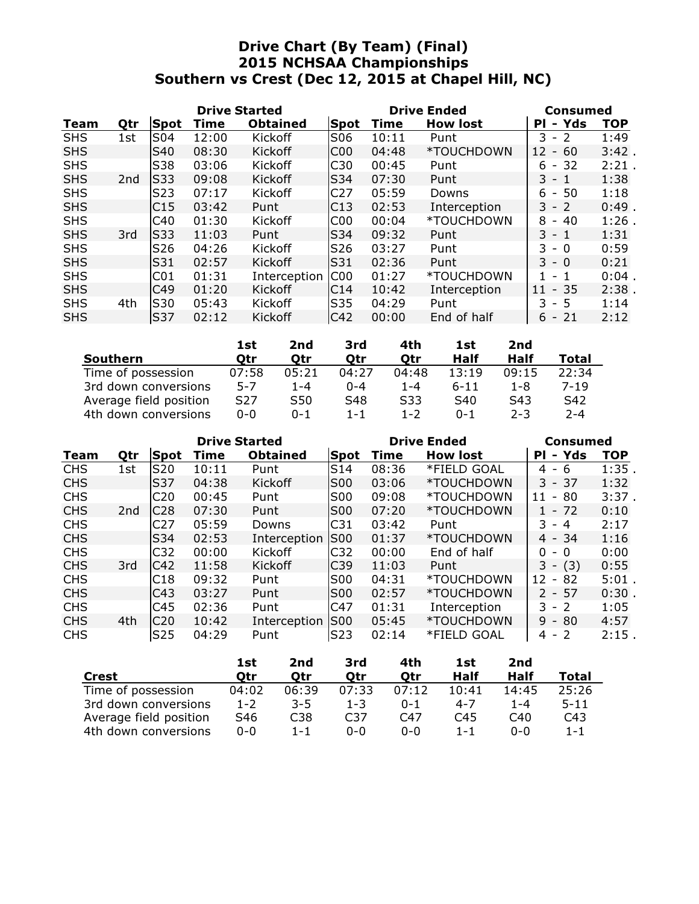# Drive Chart (By Team) (Final) 2015 NCHSAA Championships Southern vs Crest (Dec 12, 2015 at Chapel Hill, NC)

|            |     |                 | <b>Drive Started</b> |                 |                 | <b>Drive Ended</b> | <b>Consumed</b> |                                               |            |
|------------|-----|-----------------|----------------------|-----------------|-----------------|--------------------|-----------------|-----------------------------------------------|------------|
| Team       | Qtr | <b>Spot</b>     | Time                 | <b>Obtained</b> | Spot            | Time               | <b>How lost</b> | Yds<br>PI<br>$\blacksquare$                   | <b>TOP</b> |
| <b>SHS</b> | 1st | S04             | 12:00                | Kickoff         | S06             | 10:11              | Punt            | 3<br>$-2$                                     | 1:49       |
| <b>SHS</b> |     | S40             | 08:30                | Kickoff         | C <sub>00</sub> | 04:48              | *TOUCHDOWN      | 12<br>$-60$                                   | $3:42$ .   |
| <b>SHS</b> |     | S38             | 03:06                | Kickoff         | C30             | 00:45              | Punt            | 6<br>- 32                                     | 2:21       |
| <b>SHS</b> | 2nd | <b>S33</b>      | 09:08                | Kickoff         | <b>S34</b>      | 07:30              | Punt            | $3 - 1$                                       | 1:38       |
| <b>SHS</b> |     | S <sub>23</sub> | 07:17                | Kickoff         | C <sub>27</sub> | 05:59              | Downs           | 50<br>6<br>$\sim$                             | 1:18       |
| <b>SHS</b> |     | C15             | 03:42                | Punt            | C13             | 02:53              | Interception    | $3 - 2$                                       | 0:49       |
| <b>SHS</b> |     | C40             | 01:30                | Kickoff         | C00             | 00:04              | *TOUCHDOWN      | 8<br>$-40$                                    | $1:26$ .   |
| <b>SHS</b> | 3rd | lS33            | 11:03                | Punt            | lS34            | 09:32              | Punt            | $3 - 1$                                       | 1:31       |
| <b>SHS</b> |     | S26             | 04:26                | Kickoff         | S <sub>26</sub> | 03:27              | Punt            | 3.<br>- 0                                     | 0:59       |
| <b>SHS</b> |     | S31             | 02:57                | Kickoff         | S31             | 02:36              | Punt            | $3 - 0$                                       | 0:21       |
| <b>SHS</b> |     | C <sub>01</sub> | 01:31                | Interception    | IC00            | 01:27              | *TOUCHDOWN      | 1<br>$\mathbf{1}$<br>$\overline{\phantom{a}}$ | $0:04$ .   |
| <b>SHS</b> |     | C49             | 01:20                | Kickoff         | C14             | 10:42              | Interception    | $-35$<br>11                                   | 2:38       |
| <b>SHS</b> | 4th | S30             | 05:43                | <b>Kickoff</b>  | S35             | 04:29              | Punt            | 3<br>- 5                                      | 1:14       |
| <b>SHS</b> |     | <b>S37</b>      | 02:12                | Kickoff         | C42             | 00:00              | End of half     | $6 - 21$                                      | 2:12       |

|                        | 1st     | 2nd     | 3rd     | 4th     | 1st             | 2nd     |          |
|------------------------|---------|---------|---------|---------|-----------------|---------|----------|
| <b>Southern</b>        | Otr     | Otr     | Otr     | Otr     | Half            | Half    | Total    |
| Time of possession     | 07:58   | 05:21   | 04:27   | 04:48   | 13:19           | 09:15   | 22:34    |
| 3rd down conversions   | $5 - 7$ | 1-4     | $0 - 4$ | $1 - 4$ | $6 - 11$        | 1-8     | $7 - 19$ |
| Average field position | S27     | S50     | S48     | S33     | S <sub>40</sub> | S43     | S42      |
| 4th down conversions   | $0 - 0$ | $0 - 1$ | $1 - 1$ | $1 - 2$ | $0 - 1$         | $2 - 3$ | $2 - 4$  |

|            |                 |                  | <b>Drive Started</b> |                 |                 | <b>Drive Ended</b> | Consumed        |                             |            |
|------------|-----------------|------------------|----------------------|-----------------|-----------------|--------------------|-----------------|-----------------------------|------------|
| Team       | Qtr             | Spot             | Time                 | <b>Obtained</b> | Spot            | Time               | <b>How lost</b> | Yds<br>PI<br>$\blacksquare$ | <b>TOP</b> |
| <b>CHS</b> | 1st             | <b>S20</b>       | 10:11                | Punt            | S14             | 08:36              | *FIELD GOAL     | $4 - 6$                     | 1:35.      |
| <b>CHS</b> |                 | <b>S37</b>       | 04:38                | Kickoff         | <b>S00</b>      | 03:06              | *TOUCHDOWN      | $3 - 37$                    | 1:32       |
| <b>CHS</b> |                 | C <sub>20</sub>  | 00:45                | Punt            | S00             | 09:08              | *TOUCHDOWN      | -80<br>11<br>$\sim$         | 3:37.      |
| <b>CHS</b> | 2 <sub>nd</sub> | C <sub>28</sub>  | 07:30                | Punt            | <b>S00</b>      | 07:20              | *TOUCHDOWN      | $1 - 72$                    | 0:10       |
| <b>CHS</b> |                 | C <sub>2</sub> 7 | 05:59                | Downs           | C <sub>31</sub> | 03:42              | Punt            | $3 - 4$                     | 2:17       |
| <b>CHS</b> |                 | S34              | 02:53                | Interception    | IS00            | 01:37              | *TOUCHDOWN      | $4 - 34$                    | 1:16       |
| <b>CHS</b> |                 | C <sub>32</sub>  | 00:00                | Kickoff         | C <sub>32</sub> | 00:00              | End of half     | 0<br>- 0                    | 0:00       |
| <b>CHS</b> | 3rd             | C42              | 11:58                | Kickoff         | C <sub>39</sub> | 11:03              | Punt            | 3<br>$-$ (3)                | 0:55       |
| <b>CHS</b> |                 | C18              | 09:32                | Punt            | <b>S00</b>      | 04:31              | *TOUCHDOWN      | 12<br>82<br>$\sim$          | 5:01       |
| <b>CHS</b> |                 | C43              | 03:27                | Punt            | SO <sub>0</sub> | 02:57              | *TOUCHDOWN      | $2 - 57$                    | 0:30       |
| <b>CHS</b> |                 | C45              | 02:36                | Punt            | C47             | 01:31              | Interception    | $-2$<br>3.                  | 1:05       |
| <b>CHS</b> | 4th             | C <sub>20</sub>  | 10:42                | Interception    | <b>S00</b>      | 05:45              | *TOUCHDOWN      | $9 -$<br>80                 | 4:57       |
| <b>CHS</b> |                 | S <sub>25</sub>  | 04:29                | Punt            | S23             | 02:14              | *FIELD GOAL     | $4 - 2$                     | 2:15.      |

|                        | 1st     | 2nd     | 3rd     | 4th     | 1st     | 2nd   |          |
|------------------------|---------|---------|---------|---------|---------|-------|----------|
| Crest                  | Otr     | Otr     | Otr     | Otr     | Half    | Half  | Total    |
| Time of possession     | 04:02   | 06:39   | 07:33   | 07:12   | 10:41   | 14:45 | 25:26    |
| 3rd down conversions   | $1 - 2$ | $3 - 5$ | $1 - 3$ | $0 - 1$ | $4 - 7$ | 1-4   | $5 - 11$ |
| Average field position | S46     | C38     | C37     | C47     | C45     | C40   | C43      |
| 4th down conversions   | $0 - 0$ | $1 - 1$ | $0 - 0$ | $0 - 0$ | $1 - 1$ | ი-ი   | $1 - 1$  |